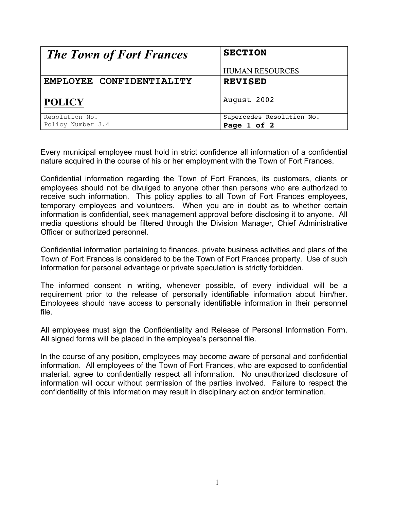| <b>The Town of Fort Frances</b> | <b>SECTION</b>            |
|---------------------------------|---------------------------|
|                                 | <b>HUMAN RESOURCES</b>    |
| EMPLOYEE CONFIDENTIALITY        | <b>REVISED</b>            |
| <b>POLICY</b>                   | August 2002               |
| Resolution No.                  | Supercedes Resolution No. |
| Policy Number 3.4               | Page 1 of 2               |

Every municipal employee must hold in strict confidence all information of a confidential nature acquired in the course of his or her employment with the Town of Fort Frances.

Confidential information regarding the Town of Fort Frances, its customers, clients or employees should not be divulged to anyone other than persons who are authorized to receive such information. This policy applies to all Town of Fort Frances employees, temporary employees and volunteers. When you are in doubt as to whether certain information is confidential, seek management approval before disclosing it to anyone. All media questions should be filtered through the Division Manager, Chief Administrative Officer or authorized personnel.

Confidential information pertaining to finances, private business activities and plans of the Town of Fort Frances is considered to be the Town of Fort Frances property. Use of such information for personal advantage or private speculation is strictly forbidden.

The informed consent in writing, whenever possible, of every individual will be a requirement prior to the release of personally identifiable information about him/her. Employees should have access to personally identifiable information in their personnel file.

All employees must sign the Confidentiality and Release of Personal Information Form. All signed forms will be placed in the employee's personnel file.

In the course of any position, employees may become aware of personal and confidential information. All employees of the Town of Fort Frances, who are exposed to confidential material, agree to confidentially respect all information. No unauthorized disclosure of information will occur without permission of the parties involved. Failure to respect the confidentiality of this information may result in disciplinary action and/or termination.